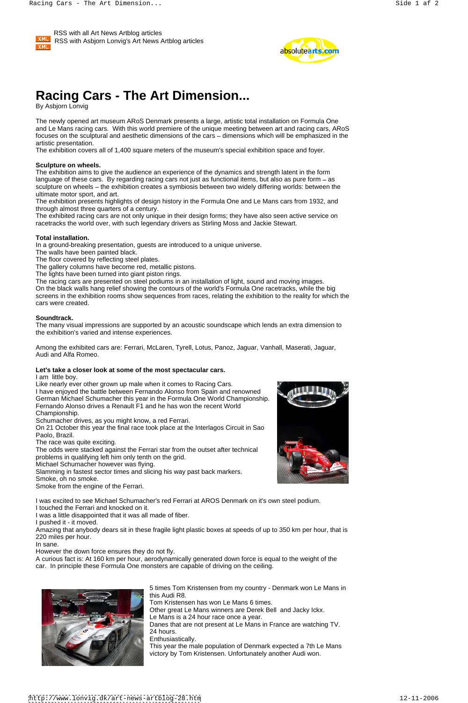



# **Racing Cars - The Art Dimension...**

By Asbjorn Lonvig

The newly opened art museum ARoS Denmark presents a large, artistic total installation on Formula One and Le Mans racing cars. With this world premiere of the unique meeting between art and racing cars, ARoS focuses on the sculptural and aesthetic dimensions of the cars – dimensions which will be emphasized in the artistic presentation.

The exhibition covers all of 1,400 square meters of the museum's special exhibition space and foyer.

#### **Sculpture on wheels.**

The exhibition aims to give the audience an experience of the dynamics and strength latent in the form language of these cars. By regarding racing cars not just as functional items, but also as pure form  $-$  as sculpture on wheels – the exhibition creates a symbiosis between two widely differing worlds: between the ultimate motor sport, and art.

The exhibition presents highlights of design history in the Formula One and Le Mans cars from 1932, and through almost three quarters of a century.

The exhibited racing cars are not only unique in their design forms; they have also seen active service on racetracks the world over, with such legendary drivers as Stirling Moss and Jackie Stewart.

#### **Total installation.**

In a ground-breaking presentation, guests are introduced to a unique universe.

- The walls have been painted black.
- The floor covered by reflecting steel plates.

The gallery columns have become red, metallic pistons.

The lights have been turned into giant piston rings.

The racing cars are presented on steel podiums in an installation of light, sound and moving images.

On the black walls hang relief showing the contours of the world's Formula One racetracks, while the big screens in the exhibition rooms show sequences from races, relating the exhibition to the reality for which the cars were created.

#### **Soundtrack.**

The many visual impressions are supported by an acoustic soundscape which lends an extra dimension to the exhibition's varied and intense experiences.

Among the exhibited cars are: Ferrari, McLaren, Tyrell, Lotus, Panoz, Jaguar, Vanhall, Maserati, Jaguar, Audi and Alfa Romeo.

#### **Let's take a closer look at some of the most spectacular cars.**

I am little boy.

Like nearly ever other grown up male when it comes to Racing Cars. I have enjoyed the battle between Fernando Alonso from Spain and renowned German Michael Schumacher this year in the Formula One World Championship. Fernando Alonso drives a Renault F1 and he has won the recent World Championship.

Schumacher drives, as you might know, a red Ferrari.

On 21 October this year the final race took place at the Interlagos Circuit in Sao Paolo, Brazil.

The race was quite exciting.

The odds were stacked against the Ferrari star from the outset after technical problems in qualifying left him only tenth on the grid.

Michael Schumacher however was flying.

Slamming in fastest sector times and slicing his way past back markers. Smoke, oh no smoke.

Smoke from the engine of the Ferrari.



I was excited to see Michael Schumacher's red Ferrari at AROS Denmark on it's own steel podium.

I touched the Ferrari and knocked on it.

I was a little disappointed that it was all made of fiber.

I pushed it - it moved.

Amazing that anybody dears sit in these fragile light plastic boxes at speeds of up to 350 km per hour, that is 220 miles per hour.

In sane.

However the down force ensures they do not fly.

A curious fact is: At 160 km per hour, aerodynamically generated down force is equal to the weight of the car. In principle these Formula One monsters are capable of driving on the ceiling.



5 times Tom Kristensen from my country - Denmark won Le Mans in this Audi R8. Tom Kristensen has won Le Mans 6 times. Other great Le Mans winners are Derek Bell and Jacky Ickx. Le Mans is a 24 hour race once a year. Danes that are not present at Le Mans in France are watching TV. 24 hours. Enthusiastically. This year the male population of Denmark expected a 7th Le Mans victory by Tom Kristensen. Unfortunately another Audi won.